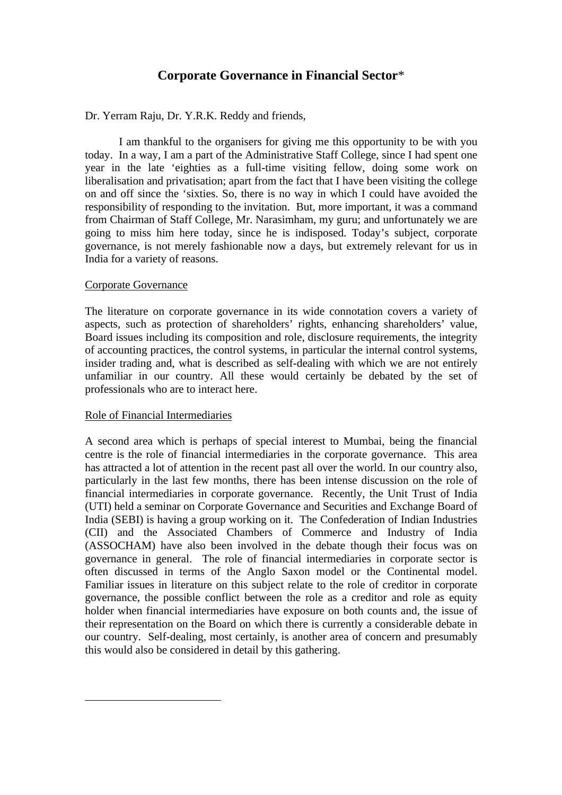# **Corporate Governance in Financial Sector**\*

Dr. Yerram Raju, Dr. Y.R.K. Reddy and friends,

I am thankful to the organisers for giving me this opportunity to be with you today. In a way, I am a part of the Administrative Staff College, since I had spent one year in the late 'eighties as a full-time visiting fellow, doing some work on liberalisation and privatisation; apart from the fact that I have been visiting the college on and off since the 'sixties. So, there is no way in which I could have avoided the responsibility of responding to the invitation. But, more important, it was a command from Chairman of Staff College, Mr. Narasimham, my guru; and unfortunately we are going to miss him here today, since he is indisposed. Today's subject, corporate governance, is not merely fashionable now a days, but extremely relevant for us in India for a variety of reasons.

## Corporate Governance

The literature on corporate governance in its wide connotation covers a variety of aspects, such as protection of shareholders' rights, enhancing shareholders' value, Board issues including its composition and role, disclosure requirements, the integrity of accounting practices, the control systems, in particular the internal control systems, insider trading and, what is described as self-dealing with which we are not entirely unfamiliar in our country. All these would certainly be debated by the set of professionals who are to interact here.

## Role of Financial Intermediaries

 $\overline{a}$ 

A second area which is perhaps of special interest to Mumbai, being the financial centre is the role of financial intermediaries in the corporate governance. This area has attracted a lot of attention in the recent past all over the world. In our country also, particularly in the last few months, there has been intense discussion on the role of financial intermediaries in corporate governance. Recently, the Unit Trust of India (UTI) held a seminar on Corporate Governance and Securities and Exchange Board of India (SEBI) is having a group working on it. The Confederation of Indian Industries (CII) and the Associated Chambers of Commerce and Industry of India (ASSOCHAM) have also been involved in the debate though their focus was on governance in general. The role of financial intermediaries in corporate sector is often discussed in terms of the Anglo Saxon model or the Continental model. Familiar issues in literature on this subject relate to the role of creditor in corporate governance, the possible conflict between the role as a creditor and role as equity holder when financial intermediaries have exposure on both counts and, the issue of their representation on the Board on which there is currently a considerable debate in our country. Self-dealing, most certainly, is another area of concern and presumably this would also be considered in detail by this gathering.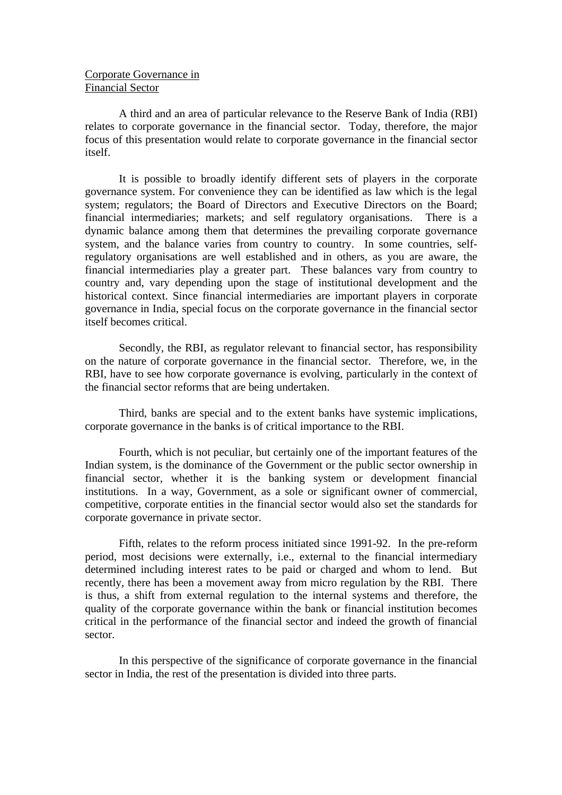## Corporate Governance in Financial Sector

A third and an area of particular relevance to the Reserve Bank of India (RBI) relates to corporate governance in the financial sector. Today, therefore, the major focus of this presentation would relate to corporate governance in the financial sector itself.

It is possible to broadly identify different sets of players in the corporate governance system. For convenience they can be identified as law which is the legal system; regulators; the Board of Directors and Executive Directors on the Board; financial intermediaries; markets; and self regulatory organisations. There is a dynamic balance among them that determines the prevailing corporate governance system, and the balance varies from country to country. In some countries, selfregulatory organisations are well established and in others, as you are aware, the financial intermediaries play a greater part. These balances vary from country to country and, vary depending upon the stage of institutional development and the historical context. Since financial intermediaries are important players in corporate governance in India, special focus on the corporate governance in the financial sector itself becomes critical.

Secondly, the RBI, as regulator relevant to financial sector, has responsibility on the nature of corporate governance in the financial sector. Therefore, we, in the RBI, have to see how corporate governance is evolving, particularly in the context of the financial sector reforms that are being undertaken.

Third, banks are special and to the extent banks have systemic implications, corporate governance in the banks is of critical importance to the RBI.

Fourth, which is not peculiar, but certainly one of the important features of the Indian system, is the dominance of the Government or the public sector ownership in financial sector, whether it is the banking system or development financial institutions. In a way, Government, as a sole or significant owner of commercial, competitive, corporate entities in the financial sector would also set the standards for corporate governance in private sector.

Fifth, relates to the reform process initiated since 1991-92. In the pre-reform period, most decisions were externally, i.e., external to the financial intermediary determined including interest rates to be paid or charged and whom to lend. But recently, there has been a movement away from micro regulation by the RBI. There is thus, a shift from external regulation to the internal systems and therefore, the quality of the corporate governance within the bank or financial institution becomes critical in the performance of the financial sector and indeed the growth of financial sector.

In this perspective of the significance of corporate governance in the financial sector in India, the rest of the presentation is divided into three parts.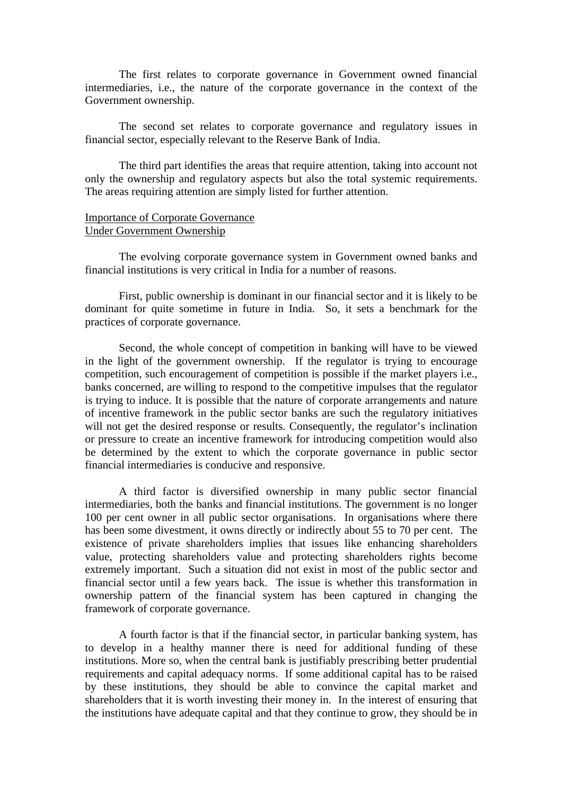The first relates to corporate governance in Government owned financial intermediaries, i.e., the nature of the corporate governance in the context of the Government ownership.

The second set relates to corporate governance and regulatory issues in financial sector, especially relevant to the Reserve Bank of India.

The third part identifies the areas that require attention, taking into account not only the ownership and regulatory aspects but also the total systemic requirements. The areas requiring attention are simply listed for further attention.

#### Importance of Corporate Governance Under Government Ownership

The evolving corporate governance system in Government owned banks and financial institutions is very critical in India for a number of reasons.

First, public ownership is dominant in our financial sector and it is likely to be dominant for quite sometime in future in India. So, it sets a benchmark for the practices of corporate governance.

Second, the whole concept of competition in banking will have to be viewed in the light of the government ownership. If the regulator is trying to encourage competition, such encouragement of competition is possible if the market players i.e., banks concerned, are willing to respond to the competitive impulses that the regulator is trying to induce. It is possible that the nature of corporate arrangements and nature of incentive framework in the public sector banks are such the regulatory initiatives will not get the desired response or results. Consequently, the regulator's inclination or pressure to create an incentive framework for introducing competition would also be determined by the extent to which the corporate governance in public sector financial intermediaries is conducive and responsive.

A third factor is diversified ownership in many public sector financial intermediaries, both the banks and financial institutions. The government is no longer 100 per cent owner in all public sector organisations. In organisations where there has been some divestment, it owns directly or indirectly about 55 to 70 per cent. The existence of private shareholders implies that issues like enhancing shareholders value, protecting shareholders value and protecting shareholders rights become extremely important. Such a situation did not exist in most of the public sector and financial sector until a few years back. The issue is whether this transformation in ownership pattern of the financial system has been captured in changing the framework of corporate governance.

A fourth factor is that if the financial sector, in particular banking system, has to develop in a healthy manner there is need for additional funding of these institutions. More so, when the central bank is justifiably prescribing better prudential requirements and capital adequacy norms. If some additional capital has to be raised by these institutions, they should be able to convince the capital market and shareholders that it is worth investing their money in. In the interest of ensuring that the institutions have adequate capital and that they continue to grow, they should be in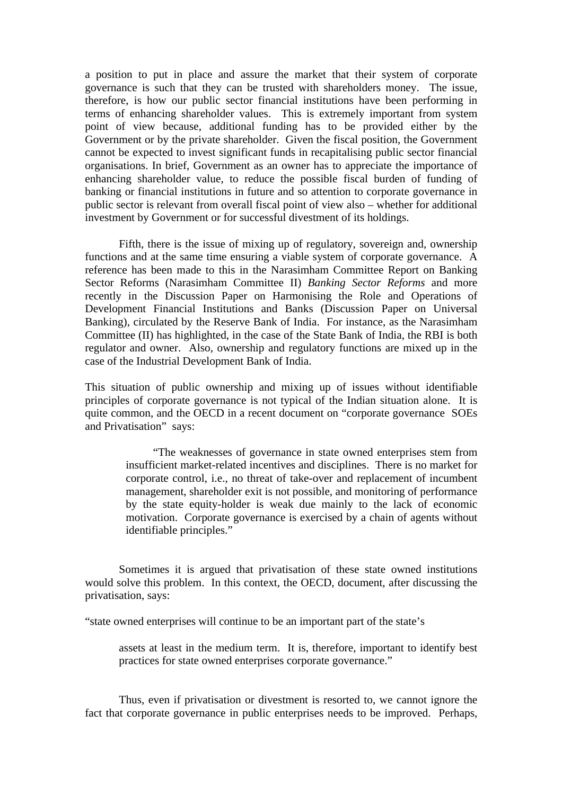a position to put in place and assure the market that their system of corporate governance is such that they can be trusted with shareholders money. The issue, therefore, is how our public sector financial institutions have been performing in terms of enhancing shareholder values. This is extremely important from system point of view because, additional funding has to be provided either by the Government or by the private shareholder. Given the fiscal position, the Government cannot be expected to invest significant funds in recapitalising public sector financial organisations. In brief, Government as an owner has to appreciate the importance of enhancing shareholder value, to reduce the possible fiscal burden of funding of banking or financial institutions in future and so attention to corporate governance in public sector is relevant from overall fiscal point of view also – whether for additional investment by Government or for successful divestment of its holdings.

Fifth, there is the issue of mixing up of regulatory, sovereign and, ownership functions and at the same time ensuring a viable system of corporate governance. A reference has been made to this in the Narasimham Committee Report on Banking Sector Reforms (Narasimham Committee II) *Banking Sector Reforms* and more recently in the Discussion Paper on Harmonising the Role and Operations of Development Financial Institutions and Banks (Discussion Paper on Universal Banking), circulated by the Reserve Bank of India. For instance, as the Narasimham Committee (II) has highlighted, in the case of the State Bank of India, the RBI is both regulator and owner. Also, ownership and regulatory functions are mixed up in the case of the Industrial Development Bank of India.

This situation of public ownership and mixing up of issues without identifiable principles of corporate governance is not typical of the Indian situation alone. It is quite common, and the OECD in a recent document on "corporate governance SOEs and Privatisation" says:

> "The weaknesses of governance in state owned enterprises stem from insufficient market-related incentives and disciplines. There is no market for corporate control, i.e., no threat of take-over and replacement of incumbent management, shareholder exit is not possible, and monitoring of performance by the state equity-holder is weak due mainly to the lack of economic motivation. Corporate governance is exercised by a chain of agents without identifiable principles."

Sometimes it is argued that privatisation of these state owned institutions would solve this problem. In this context, the OECD, document, after discussing the privatisation, says:

"state owned enterprises will continue to be an important part of the state's

assets at least in the medium term. It is, therefore, important to identify best practices for state owned enterprises corporate governance."

Thus, even if privatisation or divestment is resorted to, we cannot ignore the fact that corporate governance in public enterprises needs to be improved. Perhaps,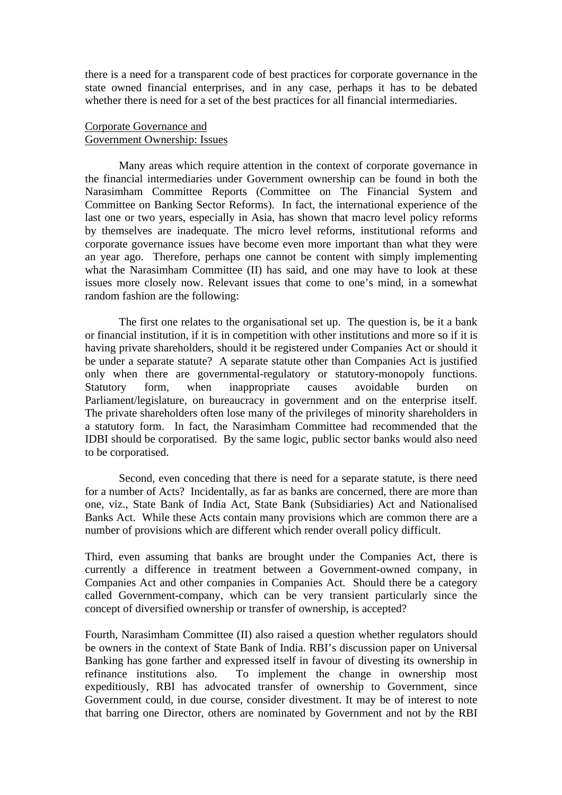there is a need for a transparent code of best practices for corporate governance in the state owned financial enterprises, and in any case, perhaps it has to be debated whether there is need for a set of the best practices for all financial intermediaries.

## Corporate Governance and Government Ownership: Issues

Many areas which require attention in the context of corporate governance in the financial intermediaries under Government ownership can be found in both the Narasimham Committee Reports (Committee on The Financial System and Committee on Banking Sector Reforms). In fact, the international experience of the last one or two years, especially in Asia, has shown that macro level policy reforms by themselves are inadequate. The micro level reforms, institutional reforms and corporate governance issues have become even more important than what they were an year ago. Therefore, perhaps one cannot be content with simply implementing what the Narasimham Committee (II) has said, and one may have to look at these issues more closely now. Relevant issues that come to one's mind, in a somewhat random fashion are the following:

The first one relates to the organisational set up. The question is, be it a bank or financial institution, if it is in competition with other institutions and more so if it is having private shareholders, should it be registered under Companies Act or should it be under a separate statute? A separate statute other than Companies Act is justified only when there are governmental-regulatory or statutory-monopoly functions. Statutory form, when inappropriate causes avoidable burden on Parliament/legislature, on bureaucracy in government and on the enterprise itself. The private shareholders often lose many of the privileges of minority shareholders in a statutory form. In fact, the Narasimham Committee had recommended that the IDBI should be corporatised. By the same logic, public sector banks would also need to be corporatised.

Second, even conceding that there is need for a separate statute, is there need for a number of Acts? Incidentally, as far as banks are concerned, there are more than one, viz., State Bank of India Act, State Bank (Subsidiaries) Act and Nationalised Banks Act. While these Acts contain many provisions which are common there are a number of provisions which are different which render overall policy difficult.

Third, even assuming that banks are brought under the Companies Act, there is currently a difference in treatment between a Government-owned company, in Companies Act and other companies in Companies Act. Should there be a category called Government-company, which can be very transient particularly since the concept of diversified ownership or transfer of ownership, is accepted?

Fourth, Narasimham Committee (II) also raised a question whether regulators should be owners in the context of State Bank of India. RBI's discussion paper on Universal Banking has gone farther and expressed itself in favour of divesting its ownership in refinance institutions also. To implement the change in ownership most expeditiously, RBI has advocated transfer of ownership to Government, since Government could, in due course, consider divestment. It may be of interest to note that barring one Director, others are nominated by Government and not by the RBI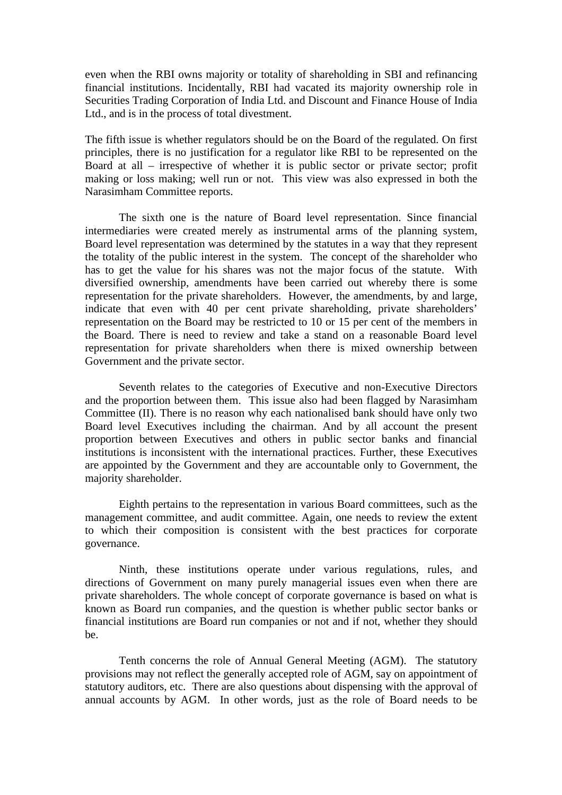even when the RBI owns majority or totality of shareholding in SBI and refinancing financial institutions. Incidentally, RBI had vacated its majority ownership role in Securities Trading Corporation of India Ltd. and Discount and Finance House of India Ltd., and is in the process of total divestment.

The fifth issue is whether regulators should be on the Board of the regulated. On first principles, there is no justification for a regulator like RBI to be represented on the Board at all – irrespective of whether it is public sector or private sector; profit making or loss making; well run or not. This view was also expressed in both the Narasimham Committee reports.

The sixth one is the nature of Board level representation. Since financial intermediaries were created merely as instrumental arms of the planning system, Board level representation was determined by the statutes in a way that they represent the totality of the public interest in the system. The concept of the shareholder who has to get the value for his shares was not the major focus of the statute. With diversified ownership, amendments have been carried out whereby there is some representation for the private shareholders. However, the amendments, by and large, indicate that even with 40 per cent private shareholding, private shareholders' representation on the Board may be restricted to 10 or 15 per cent of the members in the Board. There is need to review and take a stand on a reasonable Board level representation for private shareholders when there is mixed ownership between Government and the private sector.

Seventh relates to the categories of Executive and non-Executive Directors and the proportion between them. This issue also had been flagged by Narasimham Committee (II). There is no reason why each nationalised bank should have only two Board level Executives including the chairman. And by all account the present proportion between Executives and others in public sector banks and financial institutions is inconsistent with the international practices. Further, these Executives are appointed by the Government and they are accountable only to Government, the majority shareholder.

Eighth pertains to the representation in various Board committees, such as the management committee, and audit committee. Again, one needs to review the extent to which their composition is consistent with the best practices for corporate governance.

Ninth, these institutions operate under various regulations, rules, and directions of Government on many purely managerial issues even when there are private shareholders. The whole concept of corporate governance is based on what is known as Board run companies, and the question is whether public sector banks or financial institutions are Board run companies or not and if not, whether they should be.

Tenth concerns the role of Annual General Meeting (AGM). The statutory provisions may not reflect the generally accepted role of AGM, say on appointment of statutory auditors, etc. There are also questions about dispensing with the approval of annual accounts by AGM. In other words, just as the role of Board needs to be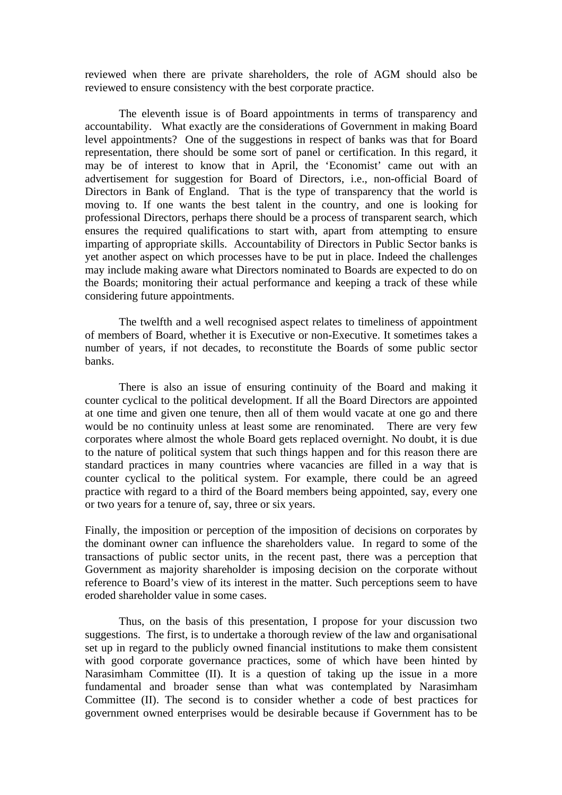reviewed when there are private shareholders, the role of AGM should also be reviewed to ensure consistency with the best corporate practice.

The eleventh issue is of Board appointments in terms of transparency and accountability. What exactly are the considerations of Government in making Board level appointments? One of the suggestions in respect of banks was that for Board representation, there should be some sort of panel or certification. In this regard, it may be of interest to know that in April, the 'Economist' came out with an advertisement for suggestion for Board of Directors, i.e., non-official Board of Directors in Bank of England. That is the type of transparency that the world is moving to. If one wants the best talent in the country, and one is looking for professional Directors, perhaps there should be a process of transparent search, which ensures the required qualifications to start with, apart from attempting to ensure imparting of appropriate skills. Accountability of Directors in Public Sector banks is yet another aspect on which processes have to be put in place. Indeed the challenges may include making aware what Directors nominated to Boards are expected to do on the Boards; monitoring their actual performance and keeping a track of these while considering future appointments.

The twelfth and a well recognised aspect relates to timeliness of appointment of members of Board, whether it is Executive or non-Executive. It sometimes takes a number of years, if not decades, to reconstitute the Boards of some public sector banks.

There is also an issue of ensuring continuity of the Board and making it counter cyclical to the political development. If all the Board Directors are appointed at one time and given one tenure, then all of them would vacate at one go and there would be no continuity unless at least some are renominated. There are very few corporates where almost the whole Board gets replaced overnight. No doubt, it is due to the nature of political system that such things happen and for this reason there are standard practices in many countries where vacancies are filled in a way that is counter cyclical to the political system. For example, there could be an agreed practice with regard to a third of the Board members being appointed, say, every one or two years for a tenure of, say, three or six years.

Finally, the imposition or perception of the imposition of decisions on corporates by the dominant owner can influence the shareholders value. In regard to some of the transactions of public sector units, in the recent past, there was a perception that Government as majority shareholder is imposing decision on the corporate without reference to Board's view of its interest in the matter. Such perceptions seem to have eroded shareholder value in some cases.

Thus, on the basis of this presentation, I propose for your discussion two suggestions. The first, is to undertake a thorough review of the law and organisational set up in regard to the publicly owned financial institutions to make them consistent with good corporate governance practices, some of which have been hinted by Narasimham Committee (II). It is a question of taking up the issue in a more fundamental and broader sense than what was contemplated by Narasimham Committee (II). The second is to consider whether a code of best practices for government owned enterprises would be desirable because if Government has to be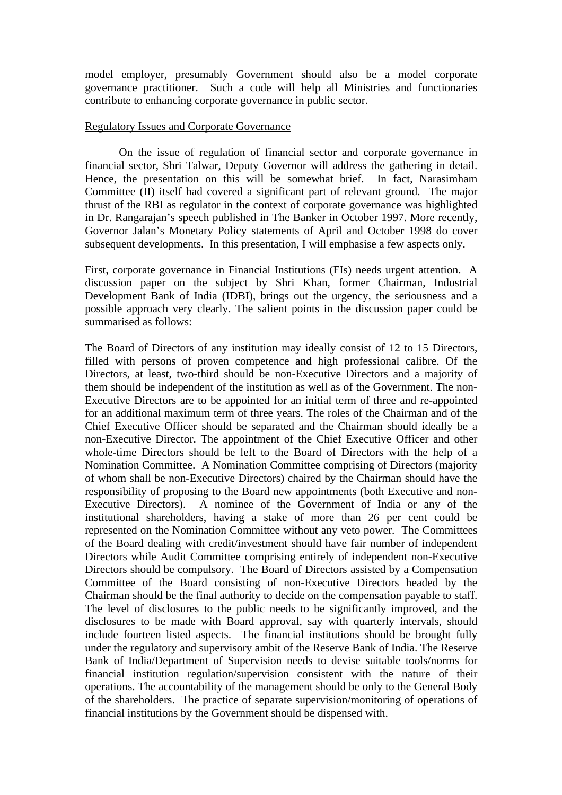model employer, presumably Government should also be a model corporate governance practitioner. Such a code will help all Ministries and functionaries contribute to enhancing corporate governance in public sector.

### Regulatory Issues and Corporate Governance

On the issue of regulation of financial sector and corporate governance in financial sector, Shri Talwar, Deputy Governor will address the gathering in detail. Hence, the presentation on this will be somewhat brief. In fact, Narasimham Committee (II) itself had covered a significant part of relevant ground. The major thrust of the RBI as regulator in the context of corporate governance was highlighted in Dr. Rangarajan's speech published in The Banker in October 1997. More recently, Governor Jalan's Monetary Policy statements of April and October 1998 do cover subsequent developments. In this presentation, I will emphasise a few aspects only.

First, corporate governance in Financial Institutions (FIs) needs urgent attention. A discussion paper on the subject by Shri Khan, former Chairman, Industrial Development Bank of India (IDBI), brings out the urgency, the seriousness and a possible approach very clearly. The salient points in the discussion paper could be summarised as follows:

The Board of Directors of any institution may ideally consist of 12 to 15 Directors, filled with persons of proven competence and high professional calibre. Of the Directors, at least, two-third should be non-Executive Directors and a majority of them should be independent of the institution as well as of the Government. The non-Executive Directors are to be appointed for an initial term of three and re-appointed for an additional maximum term of three years. The roles of the Chairman and of the Chief Executive Officer should be separated and the Chairman should ideally be a non-Executive Director. The appointment of the Chief Executive Officer and other whole-time Directors should be left to the Board of Directors with the help of a Nomination Committee. A Nomination Committee comprising of Directors (majority of whom shall be non-Executive Directors) chaired by the Chairman should have the responsibility of proposing to the Board new appointments (both Executive and non-Executive Directors). A nominee of the Government of India or any of the institutional shareholders, having a stake of more than 26 per cent could be represented on the Nomination Committee without any veto power. The Committees of the Board dealing with credit/investment should have fair number of independent Directors while Audit Committee comprising entirely of independent non-Executive Directors should be compulsory. The Board of Directors assisted by a Compensation Committee of the Board consisting of non-Executive Directors headed by the Chairman should be the final authority to decide on the compensation payable to staff. The level of disclosures to the public needs to be significantly improved, and the disclosures to be made with Board approval, say with quarterly intervals, should include fourteen listed aspects. The financial institutions should be brought fully under the regulatory and supervisory ambit of the Reserve Bank of India. The Reserve Bank of India/Department of Supervision needs to devise suitable tools/norms for financial institution regulation/supervision consistent with the nature of their operations. The accountability of the management should be only to the General Body of the shareholders. The practice of separate supervision/monitoring of operations of financial institutions by the Government should be dispensed with.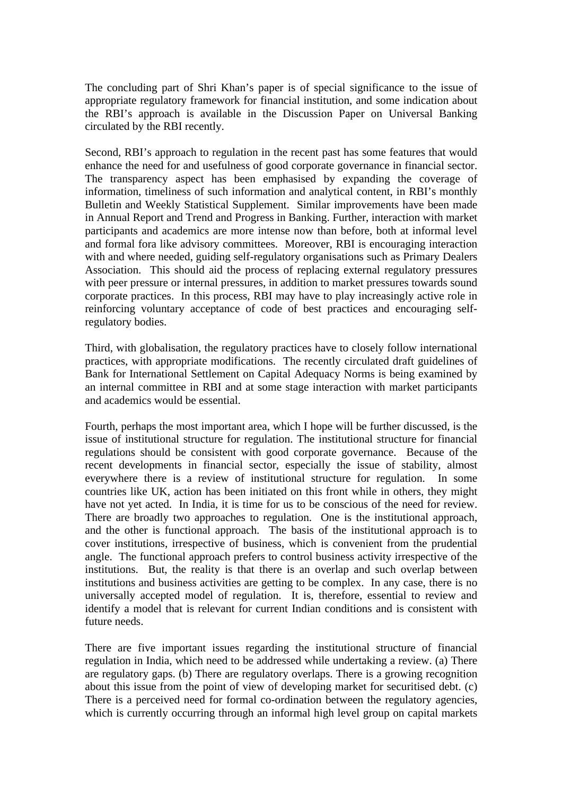The concluding part of Shri Khan's paper is of special significance to the issue of appropriate regulatory framework for financial institution, and some indication about the RBI's approach is available in the Discussion Paper on Universal Banking circulated by the RBI recently.

Second, RBI's approach to regulation in the recent past has some features that would enhance the need for and usefulness of good corporate governance in financial sector. The transparency aspect has been emphasised by expanding the coverage of information, timeliness of such information and analytical content, in RBI's monthly Bulletin and Weekly Statistical Supplement. Similar improvements have been made in Annual Report and Trend and Progress in Banking. Further, interaction with market participants and academics are more intense now than before, both at informal level and formal fora like advisory committees. Moreover, RBI is encouraging interaction with and where needed, guiding self-regulatory organisations such as Primary Dealers Association. This should aid the process of replacing external regulatory pressures with peer pressure or internal pressures, in addition to market pressures towards sound corporate practices. In this process, RBI may have to play increasingly active role in reinforcing voluntary acceptance of code of best practices and encouraging selfregulatory bodies.

Third, with globalisation, the regulatory practices have to closely follow international practices, with appropriate modifications. The recently circulated draft guidelines of Bank for International Settlement on Capital Adequacy Norms is being examined by an internal committee in RBI and at some stage interaction with market participants and academics would be essential.

Fourth, perhaps the most important area, which I hope will be further discussed, is the issue of institutional structure for regulation. The institutional structure for financial regulations should be consistent with good corporate governance. Because of the recent developments in financial sector, especially the issue of stability, almost everywhere there is a review of institutional structure for regulation. In some countries like UK, action has been initiated on this front while in others, they might have not yet acted. In India, it is time for us to be conscious of the need for review. There are broadly two approaches to regulation. One is the institutional approach, and the other is functional approach. The basis of the institutional approach is to cover institutions, irrespective of business, which is convenient from the prudential angle. The functional approach prefers to control business activity irrespective of the institutions. But, the reality is that there is an overlap and such overlap between institutions and business activities are getting to be complex. In any case, there is no universally accepted model of regulation. It is, therefore, essential to review and identify a model that is relevant for current Indian conditions and is consistent with future needs.

There are five important issues regarding the institutional structure of financial regulation in India, which need to be addressed while undertaking a review. (a) There are regulatory gaps. (b) There are regulatory overlaps. There is a growing recognition about this issue from the point of view of developing market for securitised debt. (c) There is a perceived need for formal co-ordination between the regulatory agencies, which is currently occurring through an informal high level group on capital markets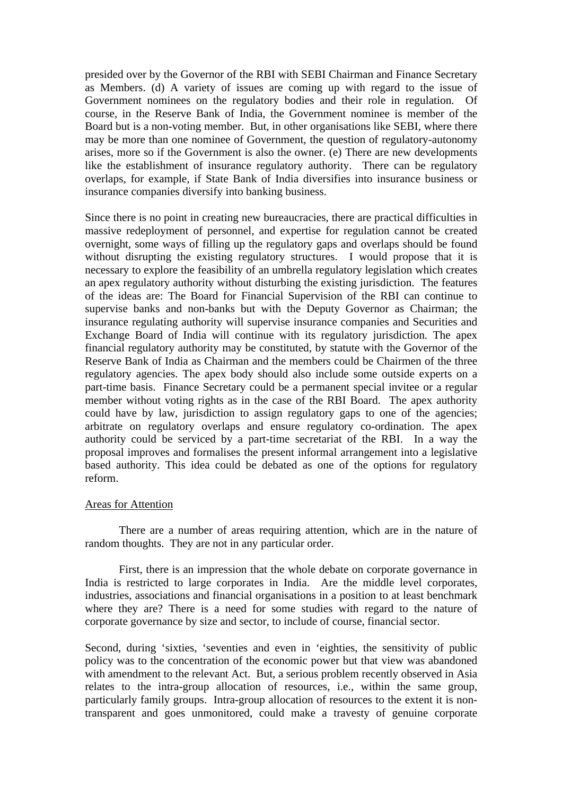presided over by the Governor of the RBI with SEBI Chairman and Finance Secretary as Members. (d) A variety of issues are coming up with regard to the issue of Government nominees on the regulatory bodies and their role in regulation. Of course, in the Reserve Bank of India, the Government nominee is member of the Board but is a non-voting member. But, in other organisations like SEBI, where there may be more than one nominee of Government, the question of regulatory-autonomy arises, more so if the Government is also the owner. (e) There are new developments like the establishment of insurance regulatory authority. There can be regulatory overlaps, for example, if State Bank of India diversifies into insurance business or insurance companies diversify into banking business.

Since there is no point in creating new bureaucracies, there are practical difficulties in massive redeployment of personnel, and expertise for regulation cannot be created overnight, some ways of filling up the regulatory gaps and overlaps should be found without disrupting the existing regulatory structures. I would propose that it is necessary to explore the feasibility of an umbrella regulatory legislation which creates an apex regulatory authority without disturbing the existing jurisdiction. The features of the ideas are: The Board for Financial Supervision of the RBI can continue to supervise banks and non-banks but with the Deputy Governor as Chairman; the insurance regulating authority will supervise insurance companies and Securities and Exchange Board of India will continue with its regulatory jurisdiction. The apex financial regulatory authority may be constituted, by statute with the Governor of the Reserve Bank of India as Chairman and the members could be Chairmen of the three regulatory agencies. The apex body should also include some outside experts on a part-time basis. Finance Secretary could be a permanent special invitee or a regular member without voting rights as in the case of the RBI Board. The apex authority could have by law, jurisdiction to assign regulatory gaps to one of the agencies; arbitrate on regulatory overlaps and ensure regulatory co-ordination. The apex authority could be serviced by a part-time secretariat of the RBI. In a way the proposal improves and formalises the present informal arrangement into a legislative based authority. This idea could be debated as one of the options for regulatory reform.

#### Areas for Attention

There are a number of areas requiring attention, which are in the nature of random thoughts. They are not in any particular order.

First, there is an impression that the whole debate on corporate governance in India is restricted to large corporates in India. Are the middle level corporates, industries, associations and financial organisations in a position to at least benchmark where they are? There is a need for some studies with regard to the nature of corporate governance by size and sector, to include of course, financial sector.

Second, during 'sixties, 'seventies and even in 'eighties, the sensitivity of public policy was to the concentration of the economic power but that view was abandoned with amendment to the relevant Act. But, a serious problem recently observed in Asia relates to the intra-group allocation of resources, i.e., within the same group, particularly family groups. Intra-group allocation of resources to the extent it is nontransparent and goes unmonitored, could make a travesty of genuine corporate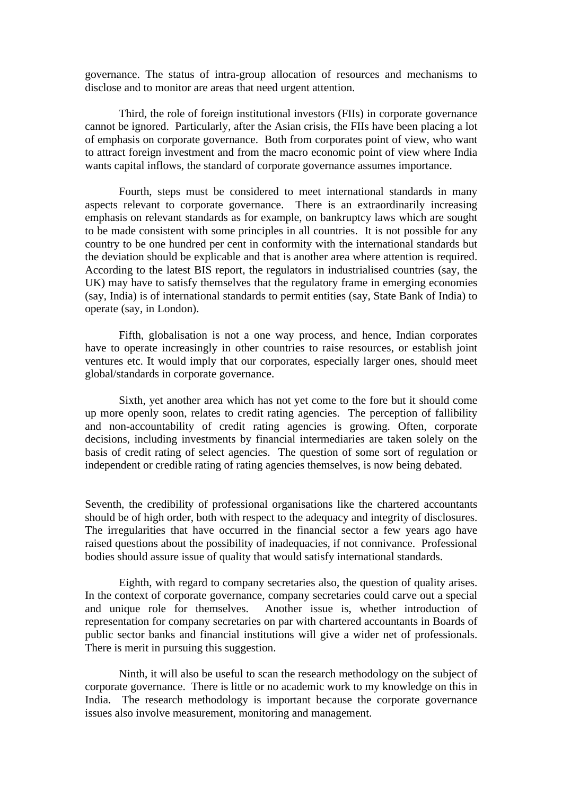governance. The status of intra-group allocation of resources and mechanisms to disclose and to monitor are areas that need urgent attention.

Third, the role of foreign institutional investors (FIIs) in corporate governance cannot be ignored. Particularly, after the Asian crisis, the FIIs have been placing a lot of emphasis on corporate governance. Both from corporates point of view, who want to attract foreign investment and from the macro economic point of view where India wants capital inflows, the standard of corporate governance assumes importance.

Fourth, steps must be considered to meet international standards in many aspects relevant to corporate governance. There is an extraordinarily increasing emphasis on relevant standards as for example, on bankruptcy laws which are sought to be made consistent with some principles in all countries. It is not possible for any country to be one hundred per cent in conformity with the international standards but the deviation should be explicable and that is another area where attention is required. According to the latest BIS report, the regulators in industrialised countries (say, the UK) may have to satisfy themselves that the regulatory frame in emerging economies (say, India) is of international standards to permit entities (say, State Bank of India) to operate (say, in London).

Fifth, globalisation is not a one way process, and hence, Indian corporates have to operate increasingly in other countries to raise resources, or establish joint ventures etc. It would imply that our corporates, especially larger ones, should meet global/standards in corporate governance.

Sixth, yet another area which has not yet come to the fore but it should come up more openly soon, relates to credit rating agencies. The perception of fallibility and non-accountability of credit rating agencies is growing. Often, corporate decisions, including investments by financial intermediaries are taken solely on the basis of credit rating of select agencies. The question of some sort of regulation or independent or credible rating of rating agencies themselves, is now being debated.

Seventh, the credibility of professional organisations like the chartered accountants should be of high order, both with respect to the adequacy and integrity of disclosures. The irregularities that have occurred in the financial sector a few years ago have raised questions about the possibility of inadequacies, if not connivance. Professional bodies should assure issue of quality that would satisfy international standards.

Eighth, with regard to company secretaries also, the question of quality arises. In the context of corporate governance, company secretaries could carve out a special and unique role for themselves. Another issue is, whether introduction of representation for company secretaries on par with chartered accountants in Boards of public sector banks and financial institutions will give a wider net of professionals. There is merit in pursuing this suggestion.

Ninth, it will also be useful to scan the research methodology on the subject of corporate governance. There is little or no academic work to my knowledge on this in India. The research methodology is important because the corporate governance issues also involve measurement, monitoring and management.